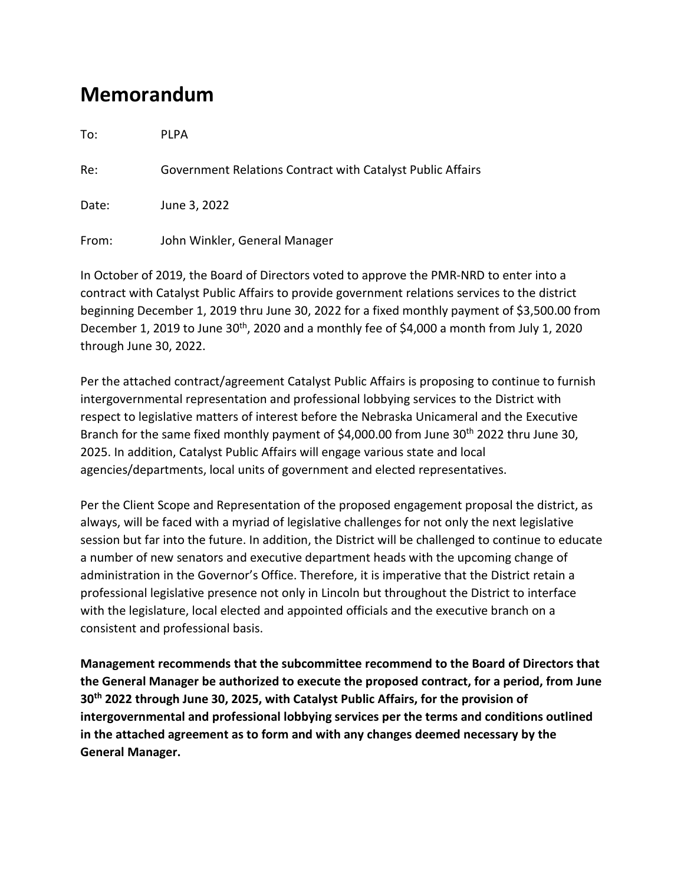## **Memorandum**

To: PLPA

Re: Government Relations Contract with Catalyst Public Affairs

Date: June 3, 2022

From: John Winkler, General Manager

In October of 2019, the Board of Directors voted to approve the PMR-NRD to enter into a contract with Catalyst Public Affairs to provide government relations services to the district beginning December 1, 2019 thru June 30, 2022 for a fixed monthly payment of \$3,500.00 from December 1, 2019 to June 30<sup>th</sup>, 2020 and a monthly fee of \$4,000 a month from July 1, 2020 through June 30, 2022.

Per the attached contract/agreement Catalyst Public Affairs is proposing to continue to furnish intergovernmental representation and professional lobbying services to the District with respect to legislative matters of interest before the Nebraska Unicameral and the Executive Branch for the same fixed monthly payment of \$4,000.00 from June 30<sup>th</sup> 2022 thru June 30, 2025. In addition, Catalyst Public Affairs will engage various state and local agencies/departments, local units of government and elected representatives.

Per the Client Scope and Representation of the proposed engagement proposal the district, as always, will be faced with a myriad of legislative challenges for not only the next legislative session but far into the future. In addition, the District will be challenged to continue to educate a number of new senators and executive department heads with the upcoming change of administration in the Governor's Office. Therefore, it is imperative that the District retain a professional legislative presence not only in Lincoln but throughout the District to interface with the legislature, local elected and appointed officials and the executive branch on a consistent and professional basis.

**Management recommends that the subcommittee recommend to the Board of Directors that the General Manager be authorized to execute the proposed contract, for a period, from June 30th 2022 through June 30, 2025, with Catalyst Public Affairs, for the provision of intergovernmental and professional lobbying services per the terms and conditions outlined in the attached agreement as to form and with any changes deemed necessary by the General Manager.**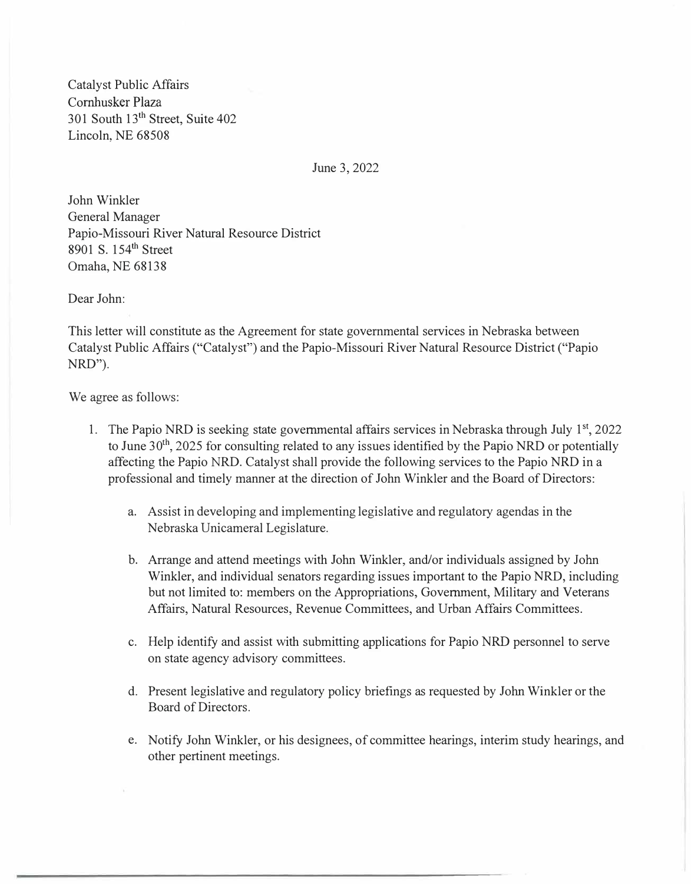Catalyst Public Affairs Cornhusker Plaza 301 South 13th Street, Suite 402 Lincoln, NE 68508

June 3, 2022

John Winkler General Manager Papio-Missouri River Natural Resource District 8901 S. 154<sup>th</sup> Street Omaha, NE 68138

Dear John:

This letter will constitute as the Agreement for state governmental services in Nebraska between Catalyst Public Affairs ("Catalyst") and the Papio-Missouri River Natural Resource District ("Papio NRD").

We agree as follows:

- 1. The Papio NRD is seeking state governmental affairs services in Nebraska through July 1<sup>st</sup>, 2022 to June 30<sup>th</sup>, 2025 for consulting related to any issues identified by the Papio NRD or potentially affecting the Papio NRD. Catalyst shall provide the following services to the Papio NRD in a professional and timely manner at the direction of John Winkler and the Board of Directors:
	- a. Assist in developing and implementing legislative and regulatory agendas in the Nebraska Unicameral Legislature.
	- b. Arrange and attend meetings with John Winkler, and/or individuals assigned by John Winkler, and individual senators regarding issues important to the Papio NRD, including but not limited to: members on the Appropriations, Government, Military and Veterans Affairs, Natural Resources, Revenue Committees, and Urban Affairs Committees.
	- c. Help identify and assist with submitting applications for Papio NRD personnel to serve on state agency advisory committees.
	- d. Present legislative and regulatory policy briefings as requested by John Winkler or the Board of Directors.
	- e. Notify John Winkler, or his designees, of committee hearings, interim study hearings, and other pertinent meetings.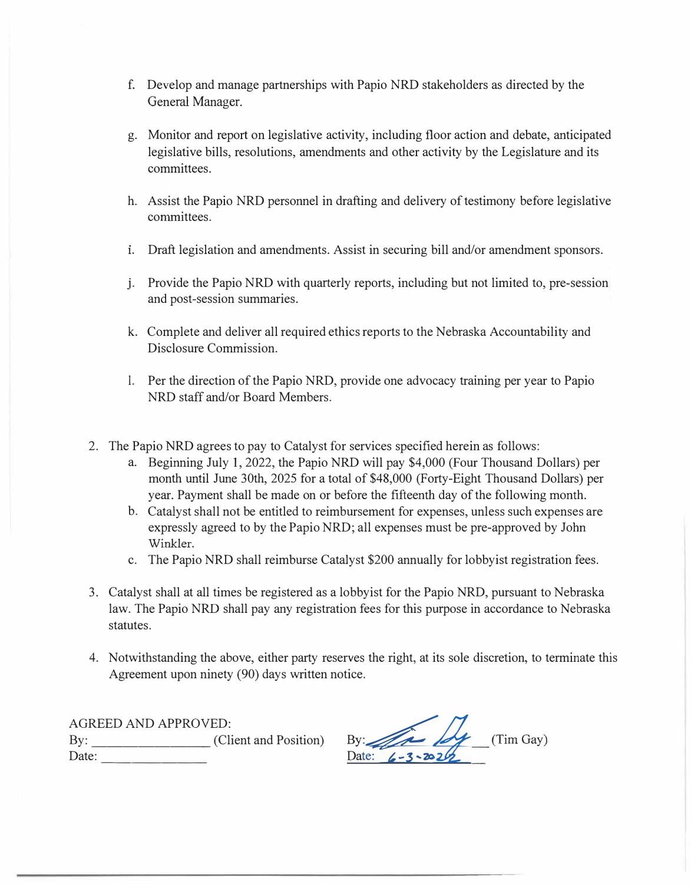- f. Develop and manage partnerships with Papio NRD stakeholders as directed by the General Manager.
- g. Monitor and report on legislative activity, including floor action and debate, anticipated legislative bills, resolutions, amendments and other activity by the Legislature and its committees.
- h. Assist the Papio NRD personnel in drafting and delivery of testimony before legislative committees.
- **1.** Draft legislation and amendments. Assist in securing bill and/or amendment sponsors.
- *j.* Provide the Papio NRD with quarterly reports, including but not limited to, pre-session and post-session summaries.
- k. Complete and deliver all required ethics reports to the Nebraska Accountability and Disclosure Commission.
- 1. Per the direction of the Papio NRD, provide one advocacy training per year to Papio NRD staff and/or Board Members.
- 2. The Papio NRD agrees to pay to Catalyst for services specified herein as follows:
	- a. Beginning July 1, 2022, the Papio NRD will pay \$4,000 (Four Thousand Dollars) per month until June 30th, 2025 for a total of \$48,000 (Forty-Eight Thousand Dollars) per year. Payment shall be made on or before the fifteenth day of the following month.
	- b. Catalyst shall not be entitled to reimbursement for expenses, unless such expenses are expressly agreed to by the Papio NRD; all expenses must be pre-approved by John Winkler.
	- c. The Papio NRD shall reimburse Catalyst \$200 annually for lobbyist registration fees.
- 3. Catalyst shall at all times be registered as a lobbyist for the Papio NRD, pursuant to Nebraska law. The Papio NRD shall pay any registration fees for this purpose in accordance to Nebraska statutes.
- 4. Notwithstanding the above, either party reserves the right, at its sole discretion, to terminate this Agreement upon ninety (90) days written notice.

AGREED AND APPROVED: By: \_\_\_\_\_\_\_\_\_\_\_\_\_\_\_\_\_(Client and Position) Date: ------- �:�Ii\_ **(Tim Gay)**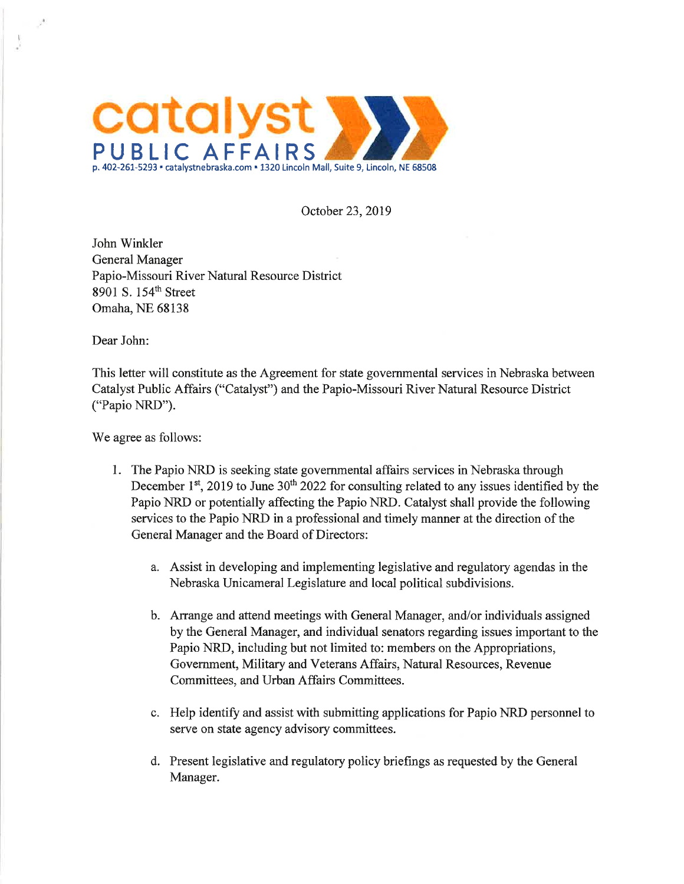

October 23, 2019

John Winkler General Manager Papio-Missouri River Natural Resource District 8901 S. 154<sup>th</sup> Street Omaha, NE 68138

Dear John:

This letter will constitute as the Agreement for state governmental services in Nebraska between Catalyst Public Affairs ("Catalyst") and the Papio-Missouri River Natural Resource District ("Papio NRD").

We agree as follows:

- 1. The Papio NRD is seeking state governmental affairs services in Nebraska through December 1<sup>st</sup>, 2019 to June 30<sup>th</sup> 2022 for consulting related to any issues identified by the Papio NRD or potentially affecting the Papio NRD. Catalyst shall provide the following services to the Papio NRD in a professional and timely manner at the direction of the General Manager and the Board of Directors:
	- a. Assist in developing and implementing legislative and regulatory agendas in the Nebraska Unicameral Legislature and local political subdivisions.
	- b. Arrange and attend meetings with General Manager, and/or individuals assigned by the General Manager, and individual senators regarding issues important to the Papio NRD, including but not limited to: members on the Appropriations, Government, Military and Veterans Affairs, Natural Resources, Revenue Committees, and Urban Affairs Committees.
	- c. Help identify and assist with submitting applications for Papio NRD personnel to serve on state agency advisory committees.
	- d. Present legislative and regulatory policy briefings as requested by the General Manager.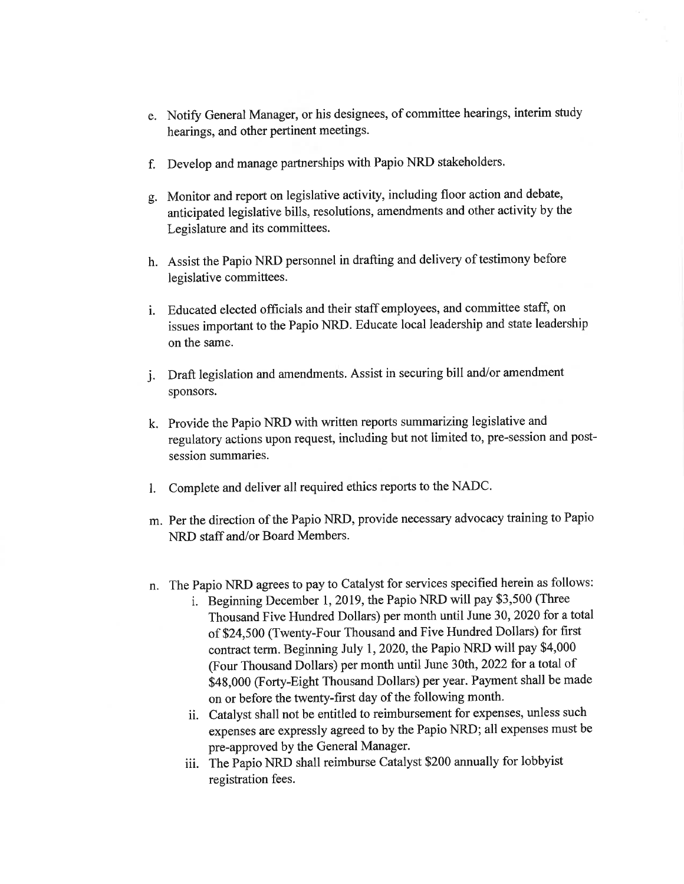- e. Notify General Manager, or his designees, of committee hearings, interim study hearings, and other pertinent meetings.
- Develop and manage partnerships with Papio NRD stakeholders. f.
- Monitor and report on legislative activity, including floor action and debate, g. anticipated legislative bills, resolutions, amendments and other activity by the Legislature and its committees.
- h. Assist the Papio NRD personnel in drafting and delivery of testimony before legislative committees.
- i. Educated elected officials and their staff employees, and committee staff, on issues important to the Papio NRD. Educate local leadership and state leadership on the same.
- j. Draft legislation and amendments. Assist in securing bill and/or amendment sponsors.
- k. Provide the Papio NRD with written reports summarizing legislative and regulatory actions upon request, including but not limited to, pre-session and postsession summaries.
- Complete and deliver all required ethics reports to the NADC.  $1.$
- m. Per the direction of the Papio NRD, provide necessary advocacy training to Papio NRD staff and/or Board Members.
- n. The Papio NRD agrees to pay to Catalyst for services specified herein as follows:
	- i. Beginning December 1, 2019, the Papio NRD will pay \$3,500 (Three Thousand Five Hundred Dollars) per month until June 30, 2020 for a total of \$24,500 (Twenty-Four Thousand and Five Hundred Dollars) for first contract term. Beginning July 1, 2020, the Papio NRD will pay \$4,000 (Four Thousand Dollars) per month until June 30th, 2022 for a total of \$48,000 (Forty-Eight Thousand Dollars) per year. Payment shall be made on or before the twenty-first day of the following month.
	- ii. Catalyst shall not be entitled to reimbursement for expenses, unless such expenses are expressly agreed to by the Papio NRD; all expenses must be pre-approved by the General Manager.
	- iii. The Papio NRD shall reimburse Catalyst \$200 annually for lobbyist registration fees.